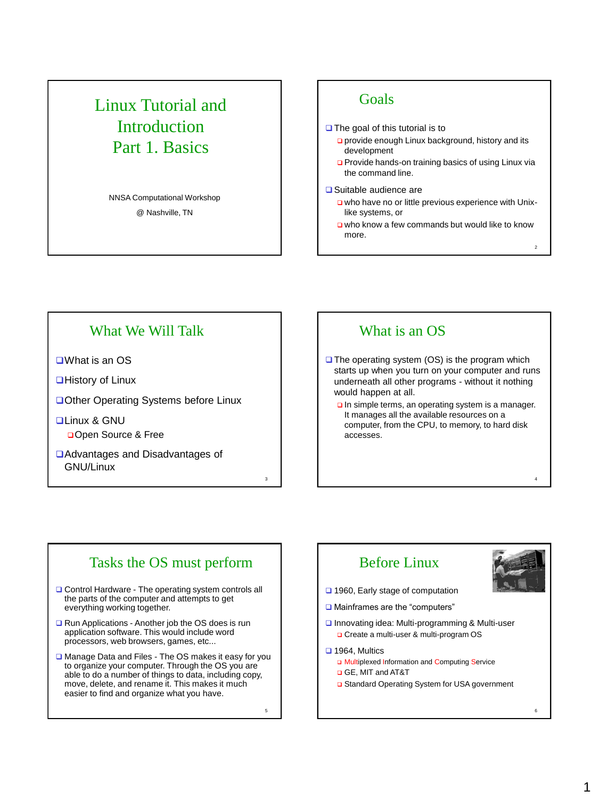# Linux Tutorial and Introduction Part 1. Basics

NNSA Computational Workshop @ Nashville, TN

## **Goals**

 $\Box$  The goal of this tutorial is to

- provide enough Linux background, history and its development
- □ Provide hands-on training basics of using Linux via the command line.

#### **□** Suitable audience are

- who have no or little previous experience with Unixlike systems, or
- who know a few commands but would like to know more.

2

4

## What We Will Talk

What is an OS

**■History of Linux** 

□ Other Operating Systems before Linux

**QLinux & GNU** Open Source & Free

Advantages and Disadvantages of GNU/Linux

## What is an OS

 $\Box$  The operating system (OS) is the program which starts up when you turn on your computer and runs underneath all other programs - without it nothing would happen at all.

In simple terms, an operating system is a manager. It manages all the available resources on a computer, from the CPU, to memory, to hard disk accesses.

# Tasks the OS must perform

- □ Control Hardware The operating system controls all the parts of the computer and attempts to get everything working together.
- Run Applications Another job the OS does is run application software. This would include word processors, web browsers, games, etc...
- **□ Manage Data and Files The OS makes it easy for you** to organize your computer. Through the OS you are able to do a number of things to data, including copy, move, delete, and rename it. This makes it much easier to find and organize what you have.

 $5$  6

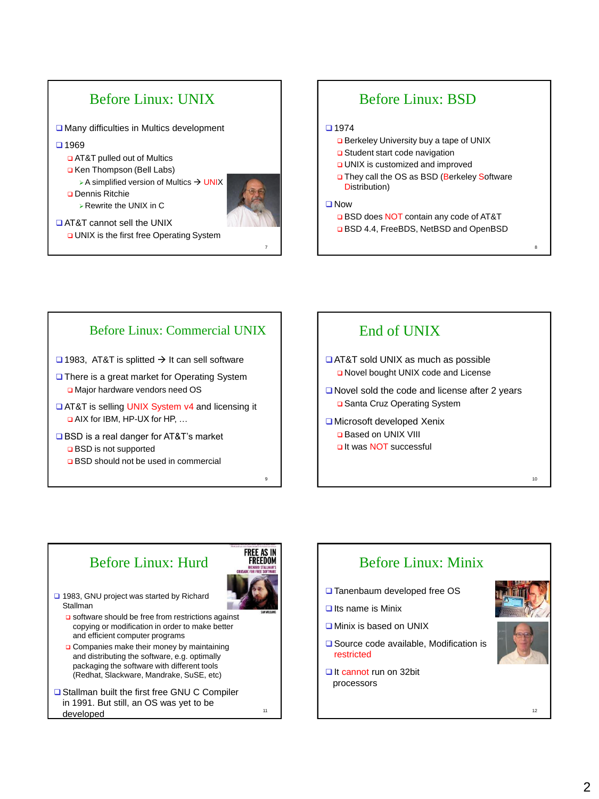

# Before Linux: BSD

#### $1974$

- Berkeley University buy a tape of UNIX
- **□** Student start code navigation
- UNIX is customized and improved
- □ They call the OS as BSD (Berkeley Software Distribution)

### □ Now

7

□ BSD does NOT contain any code of AT&T

8

10

**BSD 4.4, FreeBDS, NetBSD and OpenBSD** 

## Before Linux: Commercial UNIX

- $\Box$  1983. AT&T is splitted  $\rightarrow$  It can sell software
- **□** There is a great market for Operating System □ Major hardware vendors need OS
- □ AT&T is selling UNIX System v4 and licensing it AIX for IBM, HP-UX for HP, …
- BSD is a real danger for AT&T's market **□** BSD is not supported
	- **Q** BSD should not be used in commercial

## End of UNIX

- **QAT&T** sold UNIX as much as possible O Novel bought UNIX code and License
- Novel sold the code and license after 2 years □ Santa Cruz Operating System
- **■** Microsoft developed Xenix Based on UNIX VIII It was NOT successful

# Before Linux: Hurd



11

9

- □ 1983, GNU project was started by Richard Stallman
	- o software should be free from restrictions against copying or modification in order to make better and efficient computer programs
	- **Q** Companies make their money by maintaining and distributing the software, e.g. optimally packaging the software with different tools (Redhat, Slackware, Mandrake, SuSE, etc)
- **□ Stallman built the first free GNU C Compiler** in 1991. But still, an OS was yet to be developed and the contract of the contract of the contract of the contract of the contract of the contract of the contract of the contract of the contract of the contract of the contract of the contract of the contract of

Before Linux: Minix □ Tanenbaum developed free OS  $\Box$  Its name is Minix **Q Minix is based on UNIX □** Source code available, Modification is restricted It cannot run on 32bit processors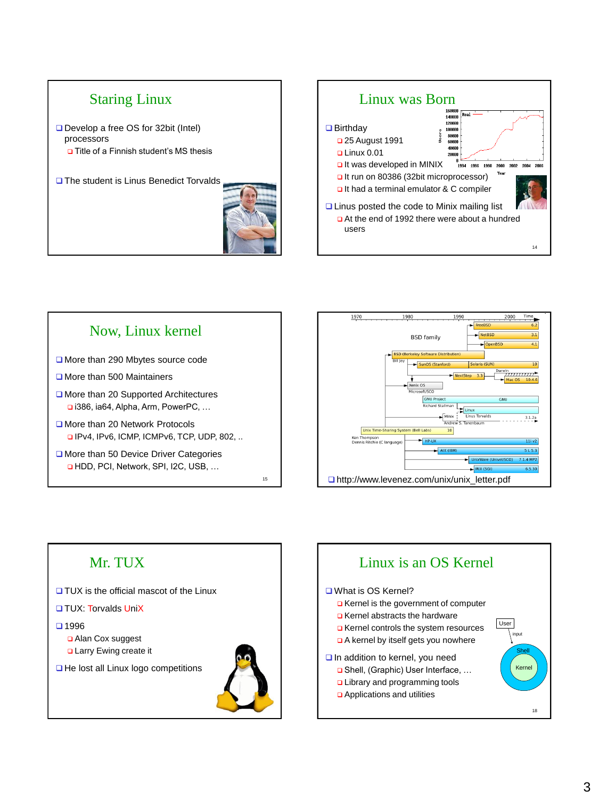

г







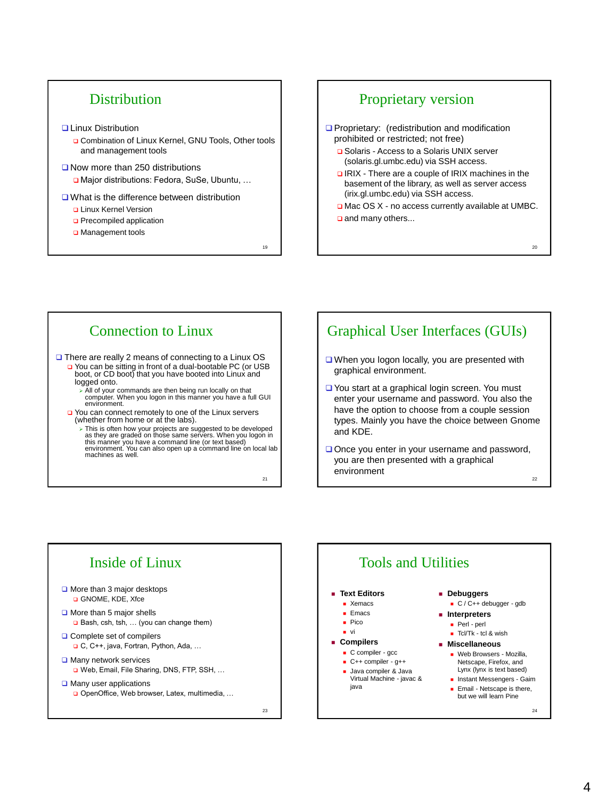# **Distribution**

### **Q Linux Distribution**

- □ Combination of Linux Kernel, GNU Tools, Other tools and management tools
- Now more than 250 distributions Major distributions: Fedora, SuSe, Ubuntu, …

#### **□** What is the difference between distribution

- Linux Kernel Version
- **D** Precompiled application
- Management tools

## Proprietary version

**Proprietary:** (redistribution and modification prohibited or restricted; not free)

- **□** Solaris Access to a Solaris UNIX server (solaris.gl.umbc.edu) via SSH access.
- **Q IRIX There are a couple of IRIX machines in the** basement of the library, as well as server access (irix.gl.umbc.edu) via SSH access.
- □ Mac OS X no access currently available at UMBC. and many others...

## Connection to Linux

□ There are really 2 means of connecting to a Linux OS □ You can be sitting in front of a dual-bootable PC (or USB boot, or CD boot) that you have booted into Linux and logged onto.

- All of your commands are then being run locally on that computer. When you logon in this manner you have a full GUI environment.
- □ You can connect remotely to one of the Linux servers (whether from home or at the labs).
	- > This is often how your projects are suggested to be developed as they are graded on those same servers. When you logon in<br>this manner you have a command line (or text based)<br>environment. You can also open up a command line on local lab machines as well.

21

<sub>10</sub>

# Graphical User Interfaces (GUIs)

- □ When you logon locally, you are presented with graphical environment.
- □ You start at a graphical login screen. You must enter your username and password. You also the have the option to choose from a couple session types. Mainly you have the choice between Gnome and KDE.
- $\Box$  Once you enter in your username and password, you are then presented with a graphical environment

22



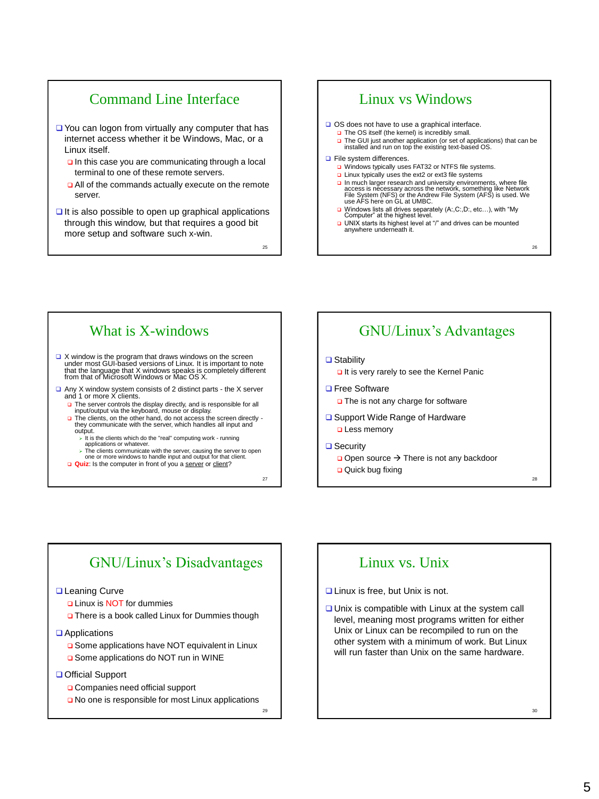# Command Line Interface

- □ You can logon from virtually any computer that has internet access whether it be Windows, Mac, or a Linux itself.
	- $\Box$  In this case you are communicating through a local terminal to one of these remote servers.
	- **Q** All of the commands actually execute on the remote server.
- $\Box$  It is also possible to open up graphical applications through this window, but that requires a good bit more setup and software such x-win.

 $25$ 

# Linux vs Windows

□ OS does not have to use a graphical interface.

- The OS itself (the kernel) is incredibly small.
	- □ The GUI just another application (or set of applications) that can be installed and run on top the existing text-based OS.

#### **D** File system differences.

- □ Windows typically uses FAT32 or NTFS file systems.
- □ Linux typically uses the ext2 or ext3 file systems
- **□ In much larger research and university environments, where file**<br>access is necessary across the network, something like Network<br>File System (NFS) or the Andrew File System (AFS) is used. We use AFS here on GL at UMBC.
- □ Windows lists all drives separately (A:,C:,D:, etc...), with "My Computer" at the highest level.
- **□ UNIX starts its highest level at "/" and drives can be mounted anywhere underneath it.**

What is X-windows

- $\Box$  X window is the program that draws windows on the screen under most GUI-based versions of Linux. It is important to note that the language that X windows speaks is completely different from that of Microsoft Windows or Mac OS X.
- □ Any X window system consists of 2 distinct parts the X server and 1 or more X clients.
	- The server controls the display directly, and is responsible for all input/output via the keyboard, mouse or display.
	- $\Box$  The clients, on the other hand, do not access the screen directly they communicate with the server, which handles all input and output.
		- $\triangleright$  It is the clients which do the "real" computing work running
		- applications or whatever. The clients communicate with the server, causing the server to open one or more windows to handle input and output for that client.
	- **Quiz**: Is the computer in front of you a server or client?

 $27$  27

# GNU/Linux's Advantages

#### **□** Stability

It is very rarely to see the Kernel Panic

- **□** Free Software
	- The is not any charge for software
- **□** Support Wide Range of Hardware **Q** Less memory
- **□** Security
	- $\Box$  Open source  $\rightarrow$  There is not any backdoor
	- **Quick bug fixing**

# GNU/Linux's Disadvantages

## **Leaning Curve**

- Linux is NOT for dummies
- There is a book called Linux for Dummies though
- **Q** Applications
	- **□** Some applications have NOT equivalent in Linux
	- □ Some applications do NOT run in WINE
- Official Support
	- Companies need official support
	- No one is responsible for most Linux applications

29

# Linux vs. Unix

**Linux is free, but Unix is not.** 

 $\Box$  Unix is compatible with Linux at the system call level, meaning most programs written for either Unix or Linux can be recompiled to run on the other system with a minimum of work. But Linux will run faster than Unix on the same hardware.

 $26$